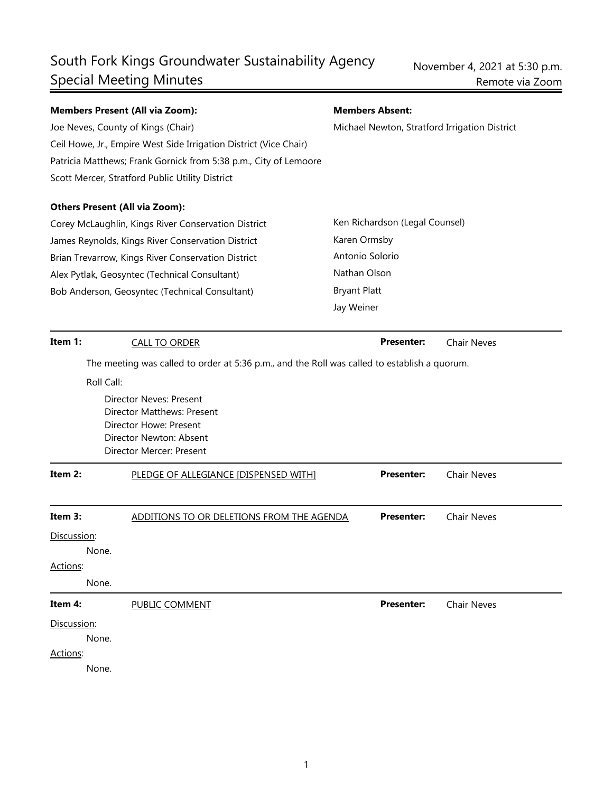# South Fork Kings Groundwater Sustainability Agency Special Meeting Minutes

| <b>Members Present (All via Zoom):</b>                                                                  |                                                                                              |  | <b>Members Absent:</b>                        |                    |  |
|---------------------------------------------------------------------------------------------------------|----------------------------------------------------------------------------------------------|--|-----------------------------------------------|--------------------|--|
| Joe Neves, County of Kings (Chair)                                                                      |                                                                                              |  | Michael Newton, Stratford Irrigation District |                    |  |
|                                                                                                         | Ceil Howe, Jr., Empire West Side Irrigation District (Vice Chair)                            |  |                                               |                    |  |
|                                                                                                         | Patricia Matthews; Frank Gornick from 5:38 p.m., City of Lemoore                             |  |                                               |                    |  |
|                                                                                                         | Scott Mercer, Stratford Public Utility District                                              |  |                                               |                    |  |
|                                                                                                         | <b>Others Present (All via Zoom):</b>                                                        |  |                                               |                    |  |
|                                                                                                         | Corey McLaughlin, Kings River Conservation District                                          |  | Ken Richardson (Legal Counsel)                |                    |  |
| James Reynolds, Kings River Conservation District<br>Brian Trevarrow, Kings River Conservation District |                                                                                              |  | Karen Ormsby<br>Antonio Solorio               |                    |  |
|                                                                                                         |                                                                                              |  |                                               |                    |  |
|                                                                                                         | Bob Anderson, Geosyntec (Technical Consultant)                                               |  | <b>Bryant Platt</b>                           |                    |  |
|                                                                                                         |                                                                                              |  | Jay Weiner                                    |                    |  |
| Item 1:                                                                                                 | <b>CALL TO ORDER</b>                                                                         |  | <b>Presenter:</b>                             | <b>Chair Neves</b> |  |
|                                                                                                         | The meeting was called to order at 5:36 p.m., and the Roll was called to establish a quorum. |  |                                               |                    |  |
|                                                                                                         | Roll Call:                                                                                   |  |                                               |                    |  |
| Director Neves: Present<br>Director Matthews: Present                                                   |                                                                                              |  |                                               |                    |  |
|                                                                                                         |                                                                                              |  |                                               |                    |  |
|                                                                                                         | Director Newton: Absent<br>Director Mercer: Present                                          |  |                                               |                    |  |
|                                                                                                         |                                                                                              |  |                                               |                    |  |
| Item 2:                                                                                                 | PLEDGE OF ALLEGIANCE [DISPENSED WITH]                                                        |  | <b>Presenter:</b>                             | <b>Chair Neves</b> |  |
|                                                                                                         |                                                                                              |  |                                               |                    |  |
| Item 3:                                                                                                 | ADDITIONS TO OR DELETIONS FROM THE AGENDA                                                    |  | <b>Presenter:</b>                             | <b>Chair Neves</b> |  |
| Discussion:                                                                                             |                                                                                              |  |                                               |                    |  |
|                                                                                                         | None.                                                                                        |  |                                               |                    |  |
| Actions:                                                                                                |                                                                                              |  |                                               |                    |  |
|                                                                                                         | None.                                                                                        |  |                                               |                    |  |
| Item 4:                                                                                                 | PUBLIC COMMENT                                                                               |  | <b>Presenter:</b>                             | <b>Chair Neves</b> |  |
| Discussion:                                                                                             |                                                                                              |  |                                               |                    |  |
|                                                                                                         | None.                                                                                        |  |                                               |                    |  |
| Actions:                                                                                                |                                                                                              |  |                                               |                    |  |
|                                                                                                         | None.                                                                                        |  |                                               |                    |  |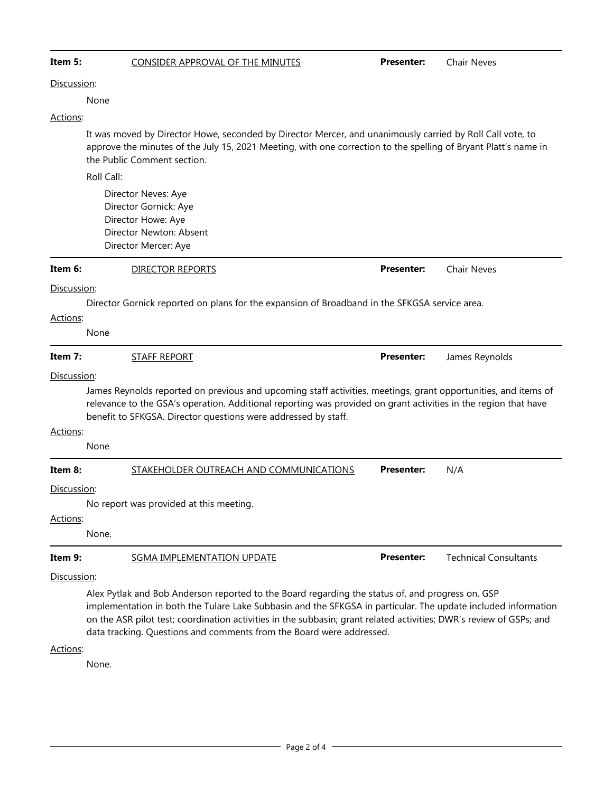| Item 5:         | <b>CONSIDER APPROVAL OF THE MINUTES</b>                                                                                                                                                                                                                                                                                                                                                                          | <b>Presenter:</b> | <b>Chair Neves</b>           |  |  |  |  |
|-----------------|------------------------------------------------------------------------------------------------------------------------------------------------------------------------------------------------------------------------------------------------------------------------------------------------------------------------------------------------------------------------------------------------------------------|-------------------|------------------------------|--|--|--|--|
| Discussion:     |                                                                                                                                                                                                                                                                                                                                                                                                                  |                   |                              |  |  |  |  |
|                 | None                                                                                                                                                                                                                                                                                                                                                                                                             |                   |                              |  |  |  |  |
| Actions:        |                                                                                                                                                                                                                                                                                                                                                                                                                  |                   |                              |  |  |  |  |
|                 | It was moved by Director Howe, seconded by Director Mercer, and unanimously carried by Roll Call vote, to<br>approve the minutes of the July 15, 2021 Meeting, with one correction to the spelling of Bryant Platt's name in<br>the Public Comment section.                                                                                                                                                      |                   |                              |  |  |  |  |
|                 | Roll Call:                                                                                                                                                                                                                                                                                                                                                                                                       |                   |                              |  |  |  |  |
|                 | Director Neves: Aye<br>Director Gornick: Aye<br>Director Howe: Aye<br>Director Newton: Absent<br>Director Mercer: Aye                                                                                                                                                                                                                                                                                            |                   |                              |  |  |  |  |
| Item 6:         | <b>DIRECTOR REPORTS</b>                                                                                                                                                                                                                                                                                                                                                                                          | <b>Presenter:</b> | <b>Chair Neves</b>           |  |  |  |  |
| Discussion:     |                                                                                                                                                                                                                                                                                                                                                                                                                  |                   |                              |  |  |  |  |
|                 | Director Gornick reported on plans for the expansion of Broadband in the SFKGSA service area.                                                                                                                                                                                                                                                                                                                    |                   |                              |  |  |  |  |
| Actions:        |                                                                                                                                                                                                                                                                                                                                                                                                                  |                   |                              |  |  |  |  |
|                 | None                                                                                                                                                                                                                                                                                                                                                                                                             |                   |                              |  |  |  |  |
| Item 7:         | <b>STAFF REPORT</b>                                                                                                                                                                                                                                                                                                                                                                                              | <b>Presenter:</b> | James Reynolds               |  |  |  |  |
| Actions:        | Discussion:<br>James Reynolds reported on previous and upcoming staff activities, meetings, grant opportunities, and items of<br>relevance to the GSA's operation. Additional reporting was provided on grant activities in the region that have<br>benefit to SFKGSA. Director questions were addressed by staff.<br>None                                                                                       |                   |                              |  |  |  |  |
|                 |                                                                                                                                                                                                                                                                                                                                                                                                                  |                   |                              |  |  |  |  |
| Item 8:         | STAKEHOLDER OUTREACH AND COMMUNICATIONS                                                                                                                                                                                                                                                                                                                                                                          | <b>Presenter:</b> | N/A                          |  |  |  |  |
|                 | Discussion:                                                                                                                                                                                                                                                                                                                                                                                                      |                   |                              |  |  |  |  |
| <u>Actions:</u> | No report was provided at this meeting.                                                                                                                                                                                                                                                                                                                                                                          |                   |                              |  |  |  |  |
|                 | None.                                                                                                                                                                                                                                                                                                                                                                                                            |                   |                              |  |  |  |  |
| Item 9:         | <b>SGMA IMPLEMENTATION UPDATE</b>                                                                                                                                                                                                                                                                                                                                                                                | <b>Presenter:</b> | <b>Technical Consultants</b> |  |  |  |  |
| Discussion:     |                                                                                                                                                                                                                                                                                                                                                                                                                  |                   |                              |  |  |  |  |
|                 | Alex Pytlak and Bob Anderson reported to the Board regarding the status of, and progress on, GSP<br>implementation in both the Tulare Lake Subbasin and the SFKGSA in particular. The update included information<br>on the ASR pilot test; coordination activities in the subbasin; grant related activities; DWR's review of GSPs; and<br>data tracking. Questions and comments from the Board were addressed. |                   |                              |  |  |  |  |
| Actions:        |                                                                                                                                                                                                                                                                                                                                                                                                                  |                   |                              |  |  |  |  |
|                 | None.                                                                                                                                                                                                                                                                                                                                                                                                            |                   |                              |  |  |  |  |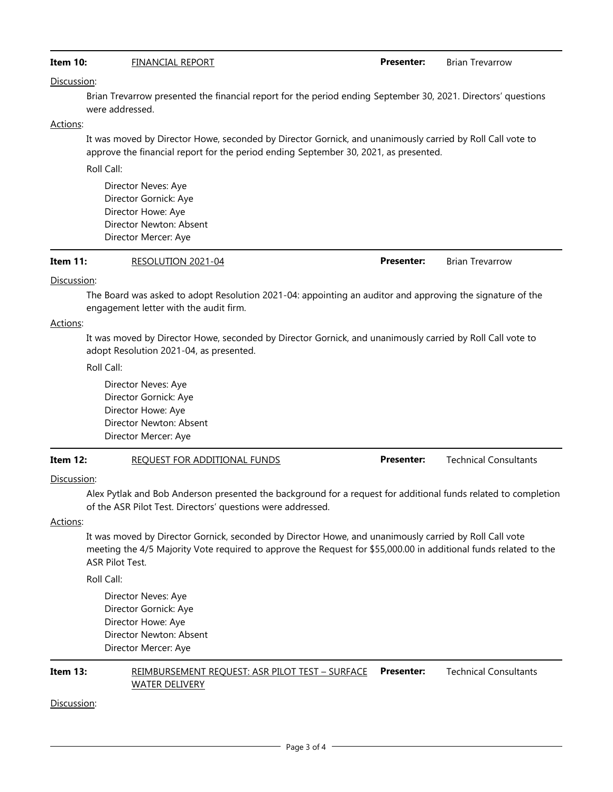### **Item 10:** FINANCIAL REPORT **Presenter:** Brian Trevarrow

Discussion:

Brian Trevarrow presented the financial report for the period ending September 30, 2021. Directors' questions were addressed.

### Actions:

It was moved by Director Howe, seconded by Director Gornick, and unanimously carried by Roll Call vote to approve the financial report for the period ending September 30, 2021, as presented.

Roll Call:

Director Neves: Aye Director Gornick: Aye Director Howe: Aye Director Newton: Absent Director Mercer: Aye

| RESOLUTION 2021-04<br>Item $11$ : | <b>Presenter:</b> | <b>Brian Trevarrow</b> |
|-----------------------------------|-------------------|------------------------|
|-----------------------------------|-------------------|------------------------|

### Discussion:

The Board was asked to adopt Resolution 2021-04: appointing an auditor and approving the signature of the engagement letter with the audit firm.

### Actions:

It was moved by Director Howe, seconded by Director Gornick, and unanimously carried by Roll Call vote to adopt Resolution 2021-04, as presented.

Roll Call:

Director Neves: Aye Director Gornick: Aye Director Howe: Aye Director Newton: Absent Director Mercer: Aye

### **Item 12:** REQUEST FOR ADDITIONAL FUNDS **Presenter:** Technical Consultants

### Discussion:

Alex Pytlak and Bob Anderson presented the background for a request for additional funds related to completion of the ASR Pilot Test. Directors' questions were addressed.

### Actions:

It was moved by Director Gornick, seconded by Director Howe, and unanimously carried by Roll Call vote meeting the 4/5 Majority Vote required to approve the Request for \$55,000.00 in additional funds related to the ASR Pilot Test.

Roll Call:

Director Neves: Aye Director Gornick: Aye Director Howe: Aye Director Newton: Absent Director Mercer: Aye

### **Item 13: REIMBURSEMENT REQUEST: ASR PILOT TEST – SURFACE Presenter:** WATER DELIVERY **Presenter:** Technical Consultants

### Discussion: